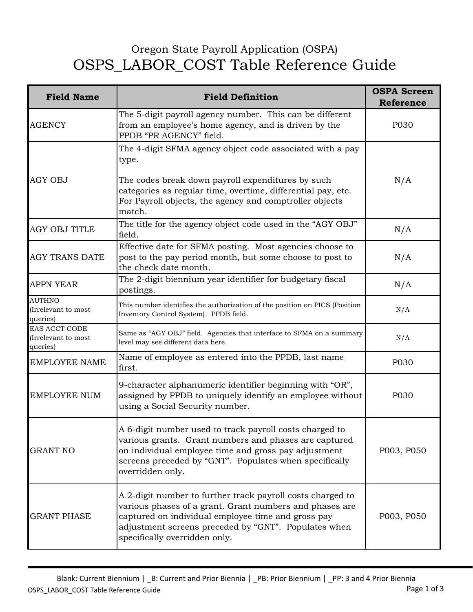## Oregon State Payroll Application (OSPA) OSPS\_LABOR\_COST Table Reference Guide

| <b>Field Name</b>                                | <b>Field Definition</b>                                                                                                                                                                                                                                              | <b>OSPA Screen</b><br><b>Reference</b> |
|--------------------------------------------------|----------------------------------------------------------------------------------------------------------------------------------------------------------------------------------------------------------------------------------------------------------------------|----------------------------------------|
| <b>AGENCY</b>                                    | The 5-digit payroll agency number. This can be different<br>from an employee's home agency, and is driven by the<br>PPDB "PR AGENCY" field.                                                                                                                          | P030                                   |
| <b>AGY OBJ</b>                                   | The 4-digit SFMA agency object code associated with a pay<br>type.                                                                                                                                                                                                   |                                        |
|                                                  | The codes break down payroll expenditures by such<br>categories as regular time, overtime, differential pay, etc.<br>For Payroll objects, the agency and comptroller objects<br>match.                                                                               | N/A                                    |
| <b>AGY OBJ TITLE</b>                             | The title for the agency object code used in the "AGY OBJ"<br>field.                                                                                                                                                                                                 | N/A                                    |
| <b>AGY TRANS DATE</b>                            | Effective date for SFMA posting. Most agencies choose to<br>post to the pay period month, but some choose to post to<br>the check date month.                                                                                                                        | N/A                                    |
| <b>APPN YEAR</b>                                 | The 2-digit biennium year identifier for budgetary fiscal<br>postings.                                                                                                                                                                                               | N/A                                    |
| <b>AUTHNO</b><br>(Irrelevant to most<br>queries) | This number identifies the authorization of the position on PICS (Position<br>Inventory Control System). PPDB field.                                                                                                                                                 | N/A                                    |
| EAS ACCT CODE<br>(Irrelevant to most<br>queries) | Same as "AGY OBJ" field. Agencies that interface to SFMA on a summary<br>level may see different data here.                                                                                                                                                          | N/A                                    |
| <b>EMPLOYEE NAME</b>                             | Name of employee as entered into the PPDB, last name<br>first.                                                                                                                                                                                                       | P030                                   |
| <b>EMPLOYEE NUM</b>                              | 9-character alphanumeric identifier beginning with "OR",<br>assigned by PPDB to uniquely identify an employee without<br>using a Social Security number.                                                                                                             | P030                                   |
| <b>GRANT NO</b>                                  | A 6-digit number used to track payroll costs charged to<br>various grants. Grant numbers and phases are captured<br>on individual employee time and gross pay adjustment<br>screens preceded by "GNT". Populates when specifically<br>overridden only.               | P003, P050                             |
| <b>GRANT PHASE</b>                               | A 2-digit number to further track payroll costs charged to<br>various phases of a grant. Grant numbers and phases are<br>captured on individual employee time and gross pay<br>adjustment screens preceded by "GNT". Populates when<br>specifically overridden only. | P003, P050                             |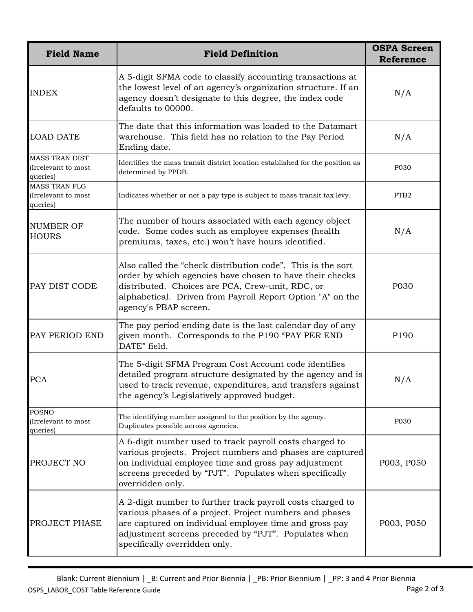| <b>Field Name</b>                                        | <b>Field Definition</b>                                                                                                                                                                                                                                                  | <b>OSPA Screen</b><br><b>Reference</b> |
|----------------------------------------------------------|--------------------------------------------------------------------------------------------------------------------------------------------------------------------------------------------------------------------------------------------------------------------------|----------------------------------------|
| <b>INDEX</b>                                             | A 5-digit SFMA code to classify accounting transactions at<br>the lowest level of an agency's organization structure. If an<br>agency doesn't designate to this degree, the index code<br>defaults to 00000.                                                             | N/A                                    |
| <b>LOAD DATE</b>                                         | The date that this information was loaded to the Datamart<br>warehouse. This field has no relation to the Pay Period<br>Ending date.                                                                                                                                     | N/A                                    |
| <b>MASS TRAN DIST</b><br>(Irrelevant to most<br>queries) | Identifies the mass transit district location established for the position as<br>determined by PPDB.                                                                                                                                                                     | P030                                   |
| <b>MASS TRAN FLG</b><br>(Irrelevant to most<br>queries)  | Indicates whether or not a pay type is subject to mass transit tax levy.                                                                                                                                                                                                 | PTB <sub>2</sub>                       |
| <b>NUMBER OF</b><br><b>HOURS</b>                         | The number of hours associated with each agency object<br>code. Some codes such as employee expenses (health<br>premiums, taxes, etc.) won't have hours identified.                                                                                                      | N/A                                    |
| PAY DIST CODE                                            | Also called the "check distribution code". This is the sort<br>order by which agencies have chosen to have their checks<br>distributed. Choices are PCA, Crew-unit, RDC, or<br>alphabetical. Driven from Payroll Report Option "A" on the<br>agency's PBAP screen.       | P030                                   |
| PAY PERIOD END                                           | The pay period ending date is the last calendar day of any<br>given month. Corresponds to the P190 "PAY PER END<br>DATE" field.                                                                                                                                          | P190                                   |
| <b>PCA</b>                                               | The 5-digit SFMA Program Cost Account code identifies<br>detailed program structure designated by the agency and is<br>used to track revenue, expenditures, and transfers against<br>the agency's Legislatively approved budget.                                         | N/A                                    |
| <b>POSNO</b><br>(Irrelevant to most<br>queries)          | The identifying number assigned to the position by the agency.<br>Duplicates possible across agencies.                                                                                                                                                                   | P030                                   |
| PROJECT NO                                               | A 6-digit number used to track payroll costs charged to<br>various projects. Project numbers and phases are captured<br>on individual employee time and gross pay adjustment<br>screens preceded by "PJT". Populates when specifically<br>overridden only.               | P003, P050                             |
| PROJECT PHASE                                            | A 2-digit number to further track payroll costs charged to<br>various phases of a project. Project numbers and phases<br>are captured on individual employee time and gross pay<br>adjustment screens preceded by "PJT". Populates when<br>specifically overridden only. | P003, P050                             |